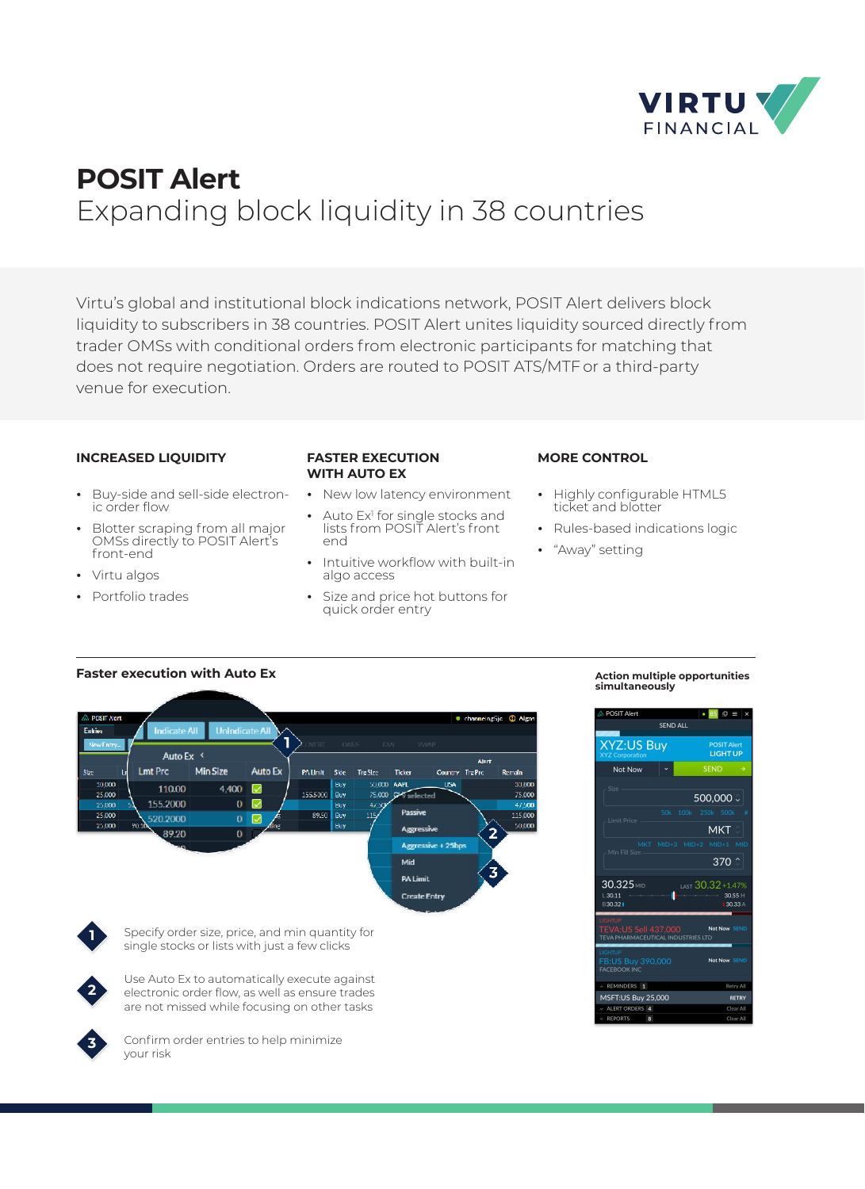

# **POSIT Alert** Expanding block liquidity in 38 countries

Virtu's global and institutional block indications network, POSIT Alert delivers block liquidity to subscribers in 38 countries. POSIT Alert unites liquidity sourced directly from trader OMSs with conditional orders from electronic participants for matching that does not require negotiation. Orders are routed to POSIT ATS/MTFor a third-party venue for execution.

## **INCREASED LIQUIDITY**

- **¬** Buy-side and sell-side electronic order flow
- **¬** Blotter scraping from all major OMSs directly to POSIT Alert's front-end
- **¬** Virtu algos
- **¬** Portfolio trades

## **FASTER EXECUTION WITH AUTO EX**

- **¬** New low latency environment
- Auto Ex<sup>1</sup> for single stocks and
- lists from POSIT Alert's front end **¬** Intuitive workflow with built-in
- algo access
- **¬** Size and price hot buttons for quick order entry

## **MORE CONTROL**

- **¬** Highly configurable HTML5 ticket and blotter
- **¬** Rules-based indications logic
- **¬** "Away" setting







Use Auto Ex to automatically execute against electronic order flow, as well as ensure trades are not missed while focusing on other tasks



Confirm order entries to help minimize your risk

#### **Action multiple opportunities simultaneously**